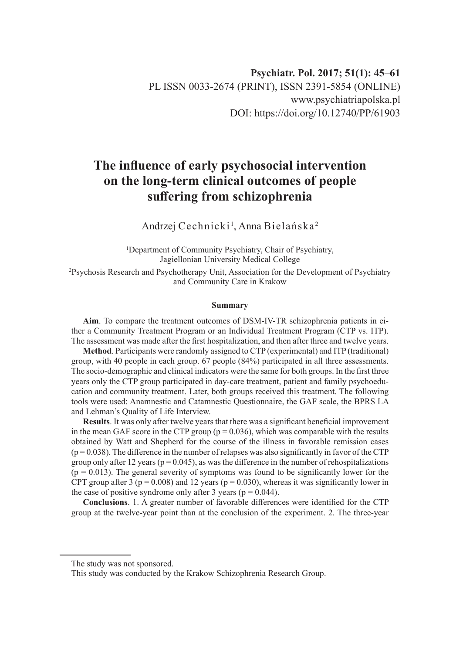# **The influence of early psychosocial intervention on the long-term clinical outcomes of people suffering from schizophrenia**

Andrzej Cechnicki<sup>1</sup>, Anna Bielańska<sup>2</sup>

1 Department of Community Psychiatry, Chair of Psychiatry, Jagiellonian University Medical College 2 Psychosis Research and Psychotherapy Unit, Association for the Development of Psychiatry and Community Care in Krakow

#### **Summary**

**Aim**. To compare the treatment outcomes of DSM-IV-TR schizophrenia patients in either a Community Treatment Program or an Individual Treatment Program (CTP vs. ITP). The assessment was made after the first hospitalization, and then after three and twelve years.

**Method**. Participants were randomly assigned to CTP (experimental) and ITP (traditional) group, with 40 people in each group. 67 people (84%) participated in all three assessments. The socio-demographic and clinical indicators were the same for both groups. In the first three years only the CTP group participated in day-care treatment, patient and family psychoeducation and community treatment. Later, both groups received this treatment. The following tools were used: Anamnestic and Catamnestic Questionnaire, the GAF scale, the BPRS LA and Lehman's Quality of Life Interview.

**Results**. It was only after twelve years that there was a significant beneficial improvement in the mean GAF score in the CTP group  $(p = 0.036)$ , which was comparable with the results obtained by Watt and Shepherd for the course of the illness in favorable remission cases  $(p=0.038)$ . The difference in the number of relapses was also significantly in favor of the CTP group only after 12 years ( $p = 0.045$ ), as was the difference in the number of rehospitalizations  $(p = 0.013)$ . The general severity of symptoms was found to be significantly lower for the CPT group after 3 ( $p = 0.008$ ) and 12 years ( $p = 0.030$ ), whereas it was significantly lower in the case of positive syndrome only after 3 years ( $p = 0.044$ ).

**Conclusions**. 1. A greater number of favorable differences were identified for the CTP group at the twelve-year point than at the conclusion of the experiment. 2. The three-year

The study was not sponsored.

This study was conducted by the Krakow Schizophrenia Research Group.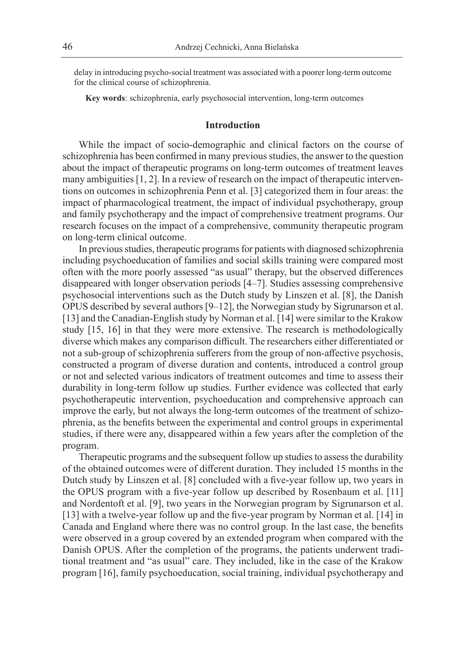delay in introducing psycho-social treatment was associated with a poorer long-term outcome for the clinical course of schizophrenia.

**Key words**: schizophrenia, early psychosocial intervention, long-term outcomes

### **Introduction**

While the impact of socio-demographic and clinical factors on the course of schizophrenia has been confirmed in many previous studies, the answer to the question about the impact of therapeutic programs on long-term outcomes of treatment leaves many ambiguities [1, 2]. In a review of research on the impact of therapeutic interventions on outcomes in schizophrenia Penn et al. [3] categorized them in four areas: the impact of pharmacological treatment, the impact of individual psychotherapy, group and family psychotherapy and the impact of comprehensive treatment programs. Our research focuses on the impact of a comprehensive, community therapeutic program on long-term clinical outcome.

In previous studies, therapeutic programs for patients with diagnosed schizophrenia including psychoeducation of families and social skills training were compared most often with the more poorly assessed "as usual" therapy, but the observed differences disappeared with longer observation periods [4–7]. Studies assessing comprehensive psychosocial interventions such as the Dutch study by Linszen et al. [8], the Danish OPUS described by several authors [9–12], the Norwegian study by Sigrunarson et al. [13] and the Canadian-English study by Norman et al. [14] were similar to the Krakow study [15, 16] in that they were more extensive. The research is methodologically diverse which makes any comparison difficult. The researchers either differentiated or not a sub-group of schizophrenia sufferers from the group of non-affective psychosis, constructed a program of diverse duration and contents, introduced a control group or not and selected various indicators of treatment outcomes and time to assess their durability in long-term follow up studies. Further evidence was collected that early psychotherapeutic intervention, psychoeducation and comprehensive approach can improve the early, but not always the long-term outcomes of the treatment of schizophrenia, as the benefits between the experimental and control groups in experimental studies, if there were any, disappeared within a few years after the completion of the program.

Therapeutic programs and the subsequent follow up studies to assess the durability of the obtained outcomes were of different duration. They included 15 months in the Dutch study by Linszen et al. [8] concluded with a five-year follow up, two years in the OPUS program with a five-year follow up described by Rosenbaum et al. [11] and Nordentoft et al. [9], two years in the Norwegian program by Sigrunarson et al. [13] with a twelve-year follow up and the five-year program by Norman et al. [14] in Canada and England where there was no control group. In the last case, the benefits were observed in a group covered by an extended program when compared with the Danish OPUS. After the completion of the programs, the patients underwent traditional treatment and "as usual" care. They included, like in the case of the Krakow program [16], family psychoeducation, social training, individual psychotherapy and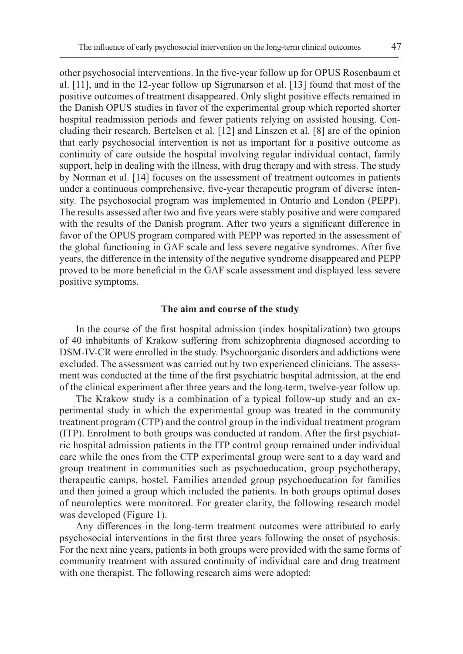other psychosocial interventions. In the five-year follow up for OPUS Rosenbaum et al. [11], and in the 12-year follow up Sigrunarson et al. [13] found that most of the positive outcomes of treatment disappeared. Only slight positive effects remained in the Danish OPUS studies in favor of the experimental group which reported shorter hospital readmission periods and fewer patients relying on assisted housing. Concluding their research, Bertelsen et al. [12] and Linszen et al. [8] are of the opinion that early psychosocial intervention is not as important for a positive outcome as continuity of care outside the hospital involving regular individual contact, family support, help in dealing with the illness, with drug therapy and with stress. The study by Norman et al. [14] focuses on the assessment of treatment outcomes in patients under a continuous comprehensive, five-year therapeutic program of diverse intensity. The psychosocial program was implemented in Ontario and London (PEPP). The results assessed after two and five years were stably positive and were compared with the results of the Danish program. After two years a significant difference in favor of the OPUS program compared with PEPP was reported in the assessment of the global functioning in GAF scale and less severe negative syndromes. After five years, the difference in the intensity of the negative syndrome disappeared and PEPP proved to be more beneficial in the GAF scale assessment and displayed less severe positive symptoms.

### **The aim and course of the study**

In the course of the first hospital admission (index hospitalization) two groups of 40 inhabitants of Krakow suffering from schizophrenia diagnosed according to DSM-IV-CR were enrolled in the study. Psychoorganic disorders and addictions were excluded. The assessment was carried out by two experienced clinicians. The assessment was conducted at the time of the first psychiatric hospital admission, at the end of the clinical experiment after three years and the long-term, twelve-year follow up.

The Krakow study is a combination of a typical follow-up study and an experimental study in which the experimental group was treated in the community treatment program (CTP) and the control group in the individual treatment program (ITP). Enrolment to both groups was conducted at random. After the first psychiatric hospital admission patients in the ITP control group remained under individual care while the ones from the CTP experimental group were sent to a day ward and group treatment in communities such as psychoeducation, group psychotherapy, therapeutic camps, hostel. Families attended group psychoeducation for families and then joined a group which included the patients. In both groups optimal doses of neuroleptics were monitored. For greater clarity, the following research model was developed (Figure 1).

Any differences in the long-term treatment outcomes were attributed to early psychosocial interventions in the first three years following the onset of psychosis. For the next nine years, patients in both groups were provided with the same forms of community treatment with assured continuity of individual care and drug treatment with one therapist. The following research aims were adopted: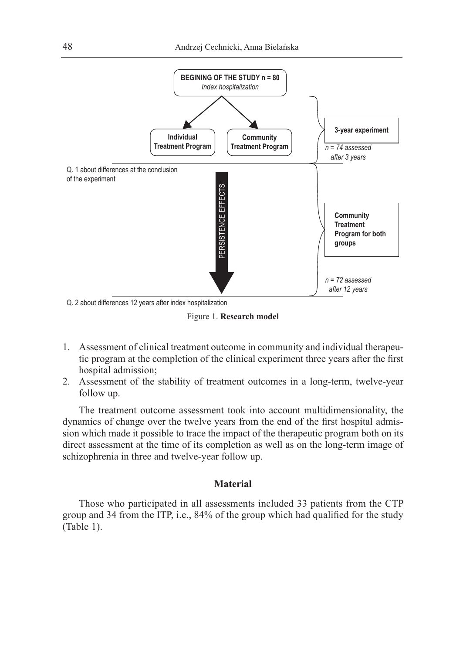

Figure 1. **Research model**

- 1. Assessment of clinical treatment outcome in community and individual therapeutic program at the completion of the clinical experiment three years after the first hospital admission;
- 2. Assessment of the stability of treatment outcomes in a long-term, twelve-year follow up.

The treatment outcome assessment took into account multidimensionality, the dynamics of change over the twelve years from the end of the first hospital admission which made it possible to trace the impact of the therapeutic program both on its direct assessment at the time of its completion as well as on the long-term image of schizophrenia in three and twelve-year follow up.

## **Material**

Those who participated in all assessments included 33 patients from the CTP group and 34 from the ITP, i.e., 84% of the group which had qualified for the study (Table 1).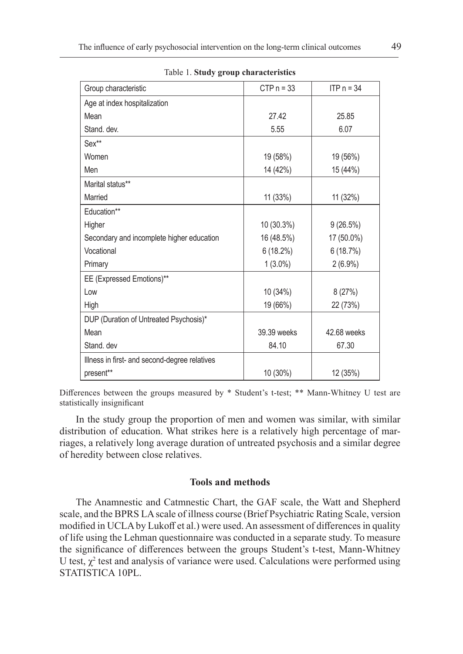| Group characteristic                          | $CTP n = 33$ | $IPn = 34$  |
|-----------------------------------------------|--------------|-------------|
| Age at index hospitalization                  |              |             |
| Mean                                          | 27.42        | 25.85       |
| Stand, dev.                                   | 5.55         | 6.07        |
| Sex**                                         |              |             |
| Women                                         | 19 (58%)     | 19 (56%)    |
| Men                                           | 14 (42%)     | 15 (44%)    |
| Marital status**                              |              |             |
| Married                                       | 11 (33%)     | 11 (32%)    |
| Education**                                   |              |             |
| Higher                                        | 10 (30.3%)   | 9(26.5%)    |
| Secondary and incomplete higher education     | 16 (48.5%)   | 17 (50.0%)  |
| Vocational                                    | $6(18.2\%)$  | 6(18.7%)    |
| Primary                                       | $1(3.0\%)$   | $2(6.9\%)$  |
| EE (Expressed Emotions)**                     |              |             |
| Low                                           | 10 (34%)     | 8(27%)      |
| High                                          | 19 (66%)     | 22 (73%)    |
| DUP (Duration of Untreated Psychosis)*        |              |             |
| Mean                                          | 39.39 weeks  | 42.68 weeks |
| Stand, dev                                    | 84.10        | 67.30       |
| Illness in first- and second-degree relatives |              |             |
| present**                                     | 10 (30%)     | 12 (35%)    |

Table 1. **Study group characteristics**

Differences between the groups measured by \* Student's t-test; \*\* Mann-Whitney U test are statistically insignificant

In the study group the proportion of men and women was similar, with similar distribution of education. What strikes here is a relatively high percentage of marriages, a relatively long average duration of untreated psychosis and a similar degree of heredity between close relatives.

### **Tools and methods**

The Anamnestic and Catmnestic Chart, the GAF scale, the Watt and Shepherd scale, and the BPRS LA scale of illness course (Brief Psychiatric Rating Scale, version modified in UCLA by Lukoff et al.) were used. An assessment of differences in quality of life using the Lehman questionnaire was conducted in a separate study. To measure the significance of differences between the groups Student's t-test, Mann-Whitney U test,  $\chi^2$  test and analysis of variance were used. Calculations were performed using STATISTICA 10PL.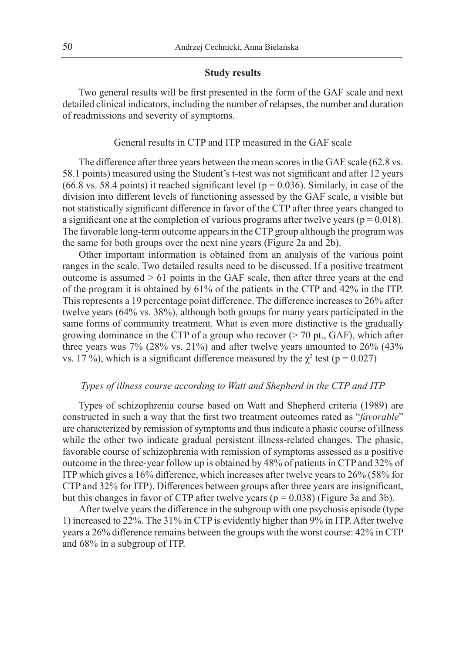### **Study results**

Two general results will be first presented in the form of the GAF scale and next detailed clinical indicators, including the number of relapses, the number and duration of readmissions and severity of symptoms.

General results in CTP and ITP measured in the GAF scale

The difference after three years between the mean scores in the GAF scale (62.8 vs. 58.1 points) measured using the Student's t-test was not significant and after 12 years (66.8 vs. 58.4 points) it reached significant level ( $p = 0.036$ ). Similarly, in case of the division into different levels of functioning assessed by the GAF scale, a visible but not statistically significant difference in favor of the CTP after three years changed to a significant one at the completion of various programs after twelve years ( $p = 0.018$ ). The favorable long-term outcome appears in the CTP group although the program was the same for both groups over the next nine years (Figure 2a and 2b).

Other important information is obtained from an analysis of the various point ranges in the scale. Two detailed results need to be discussed. If a positive treatment outcome is assumed  $> 61$  points in the GAF scale, then after three years at the end of the program it is obtained by 61% of the patients in the CTP and 42% in the ITP. This represents a 19 percentage point difference. The difference increases to 26% after twelve years (64% vs. 38%), although both groups for many years participated in the same forms of community treatment. What is even more distinctive is the gradually growing dominance in the CTP of a group who recover  $($  > 70 pt., GAF), which after three years was 7% (28% vs. 21%) and after twelve years amounted to 26% (43% vs. 17 %), which is a significant difference measured by the  $\chi^2$  test (p = 0.027)

### *Types of illness course according to Watt and Shepherd in the CTP and ITP*

Types of schizophrenia course based on Watt and Shepherd criteria (1989) are constructed in such a way that the first two treatment outcomes rated as "*favorable*" are characterized by remission of symptoms and thus indicate a phasic course of illness while the other two indicate gradual persistent illness-related changes. The phasic, favorable course of schizophrenia with remission of symptoms assessed as a positive outcome in the three-year follow up is obtained by 48% of patients in CTP and 32% of ITP which gives a 16% difference, which increases after twelve years to 26% (58% for CTP and 32% for ITP). Differences between groups after three years are insignificant, but this changes in favor of CTP after twelve years ( $p = 0.038$ ) (Figure 3a and 3b).

After twelve years the difference in the subgroup with one psychosis episode (type 1) increased to 22%. The 31% in CTP is evidently higher than 9% in ITP. After twelve years a 26% difference remains between the groups with the worst course: 42% in CTP and 68% in a subgroup of ITP.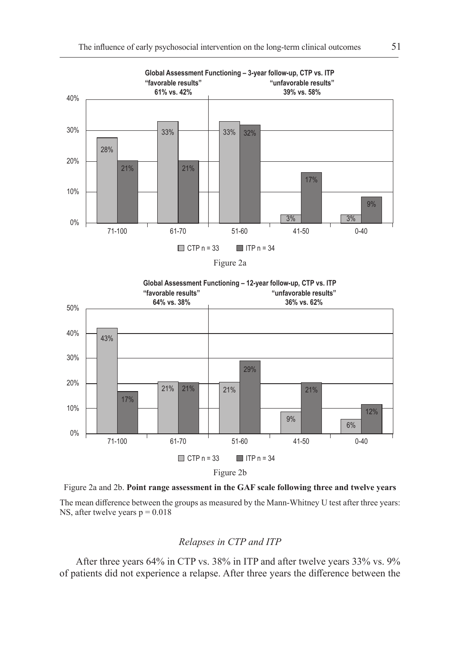

Figure 2a



Figure 2a and 2b. **Point range assessment in the GAF scale following three and twelve years**

The mean difference between the groups as measured by the Mann-Whitney U test after three years: NS, after twelve years  $p = 0.018$ 

# *Relapses in CTP and ITP*

After three years 64% in CTP vs. 38% in ITP and after twelve years 33% vs. 9% of patients did not experience a relapse. After three years the difference between the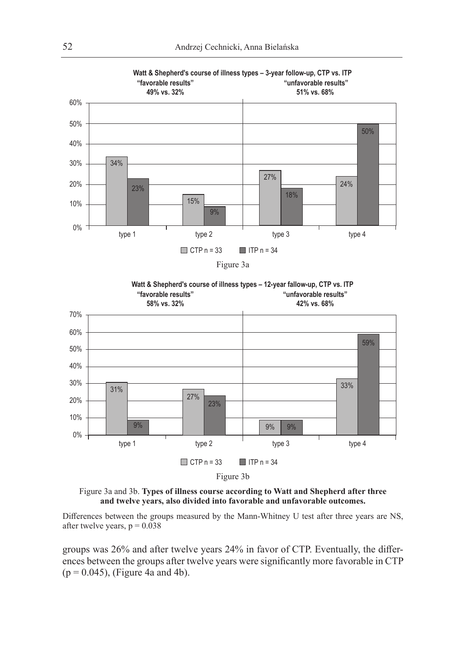



Figure 3a and 3b. **Types of illness course according to Watt and Shepherd after three and twelve years, also divided into favorable and unfavorable outcomes.**

Differences between the groups measured by the Mann-Whitney U test after three years are NS, after twelve years,  $p = 0.038$ 

groups was 26% and after twelve years 24% in favor of CTP. Eventually, the differences between the groups after twelve years were significantly more favorable in CTP  $(p = 0.045)$ , (Figure 4a and 4b).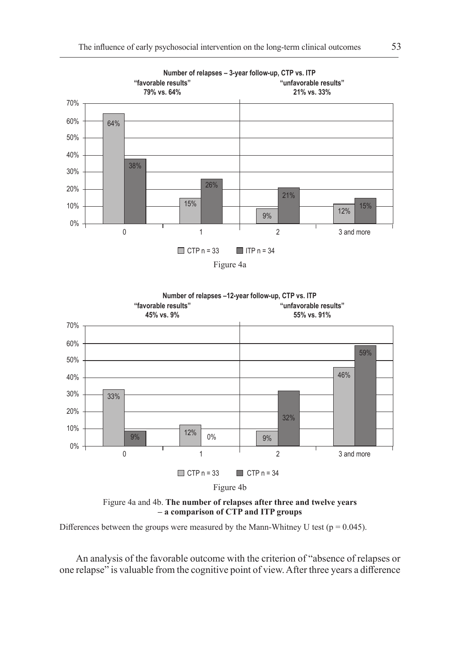





Differences between the groups were measured by the Mann-Whitney U test ( $p = 0.045$ ).

An analysis of the favorable outcome with the criterion of "absence of relapses or one relapse" is valuable from the cognitive point of view. After three years a difference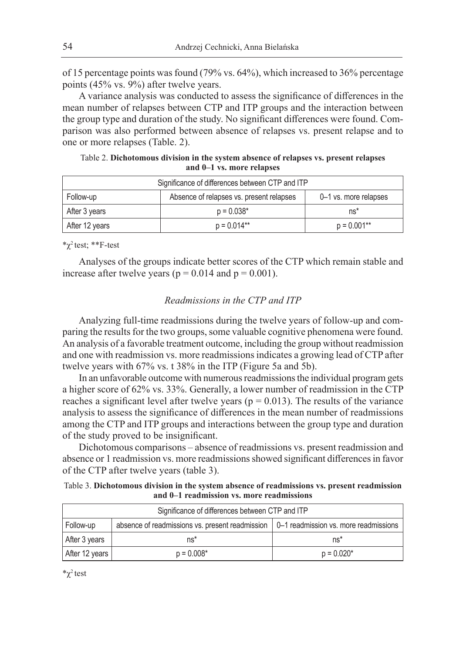of 15 percentage points was found (79% vs. 64%), which increased to 36% percentage points (45% vs. 9%) after twelve years.

A variance analysis was conducted to assess the significance of differences in the mean number of relapses between CTP and ITP groups and the interaction between the group type and duration of the study. No significant differences were found. Comparison was also performed between absence of relapses vs. present relapse and to one or more relapses (Table. 2).

Table 2. **Dichotomous division in the system absence of relapses vs. present relapses and 0–1 vs. more relapses**

| Significance of differences between CTP and ITP |                                          |                       |
|-------------------------------------------------|------------------------------------------|-----------------------|
| Follow-up                                       | Absence of relapses vs. present relapses | 0-1 vs. more relapses |
| After 3 years                                   | $p = 0.038*$                             | $ns^*$                |
| After 12 years                                  | $p = 0.014***$                           | $p = 0.001**$         |

 $*\gamma^2$  test;  $**$ F-test

Analyses of the groups indicate better scores of the CTP which remain stable and increase after twelve years ( $p = 0.014$  and  $p = 0.001$ ).

# *Readmissions in the CTP and ITP*

Analyzing full-time readmissions during the twelve years of follow-up and comparing the results for the two groups, some valuable cognitive phenomena were found. An analysis of a favorable treatment outcome, including the group without readmission and one with readmission vs. more readmissions indicates a growing lead of CTP after twelve years with 67% vs. t 38% in the ITP (Figure 5a and 5b).

In an unfavorable outcome with numerous readmissions the individual program gets a higher score of 62% vs. 33%. Generally, a lower number of readmission in the CTP reaches a significant level after twelve years ( $p = 0.013$ ). The results of the variance analysis to assess the significance of differences in the mean number of readmissions among the CTP and ITP groups and interactions between the group type and duration of the study proved to be insignificant.

Dichotomous comparisons – absence of readmissions vs. present readmission and absence or 1 readmission vs. more readmissions showed significant differences in favor of the CTP after twelve years (table 3).

Table 3. **Dichotomous division in the system absence of readmissions vs. present readmission and 0–1 readmission vs. more readmissions**

| Significance of differences between CTP and ITP |                                                                                               |              |  |
|-------------------------------------------------|-----------------------------------------------------------------------------------------------|--------------|--|
| Follow-up                                       | absence of readmissions vs. present readmission $\vert$ 0-1 readmission vs. more readmissions |              |  |
| After 3 years                                   | $ns*$                                                                                         | ns*          |  |
| After 12 years                                  | $p = 0.008*$                                                                                  | $p = 0.020*$ |  |

\*χ2 test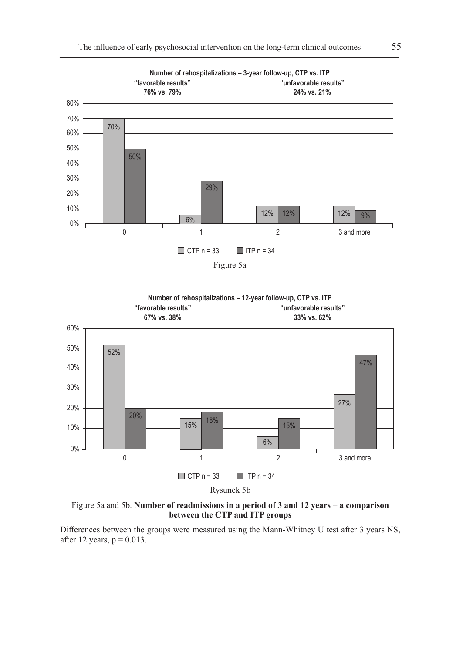



Figure 5a and 5b. **Number of readmissions in a period of 3 and 12 years – a comparison between the CTP and ITP groups**

Differences between the groups were measured using the Mann-Whitney U test after 3 years NS, after 12 years,  $p = 0.013$ .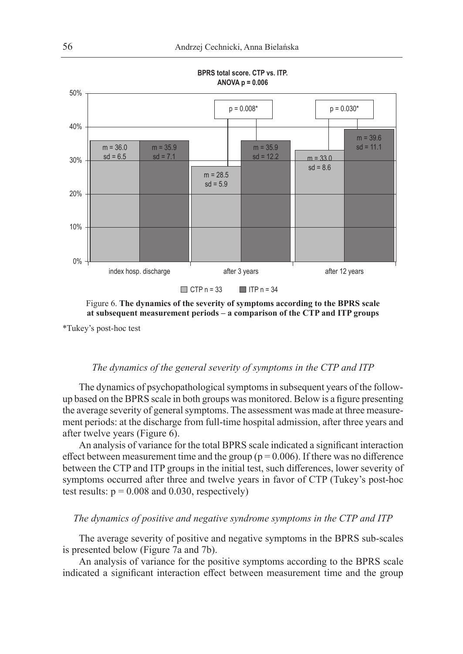

Figure 6. **The dynamics of the severity of symptoms according to the BPRS scale at subsequent measurement periods – a comparison of the CTP and ITP groups**

\*Tukey's post-hoc test

### *The dynamics of the general severity of symptoms in the CTP and ITP*

The dynamics of psychopathological symptoms in subsequent years of the followup based on the BPRS scale in both groups was monitored. Below is a figure presenting the average severity of general symptoms. The assessment was made at three measurement periods: at the discharge from full-time hospital admission, after three years and after twelve years (Figure 6).

An analysis of variance for the total BPRS scale indicated a significant interaction effect between measurement time and the group ( $p = 0.006$ ). If there was no difference between the CTP and ITP groups in the initial test, such differences, lower severity of symptoms occurred after three and twelve years in favor of CTP (Tukey's post-hoc test results:  $p = 0.008$  and 0.030, respectively)

### *The dynamics of positive and negative syndrome symptoms in the CTP and ITP*

The average severity of positive and negative symptoms in the BPRS sub-scales is presented below (Figure 7a and 7b).

An analysis of variance for the positive symptoms according to the BPRS scale indicated a significant interaction effect between measurement time and the group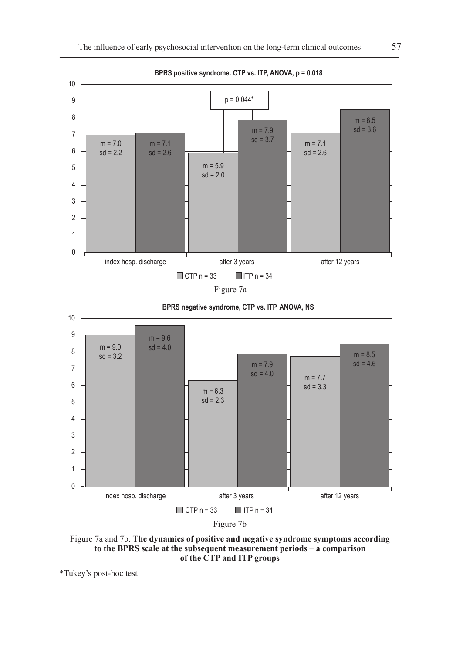





Figure 7a and 7b. **The dynamics of positive and negative syndrome symptoms according to the BPRS scale at the subsequent measurement periods – a comparison of the CTP and ITP groups**

\*Tukey's post-hoc test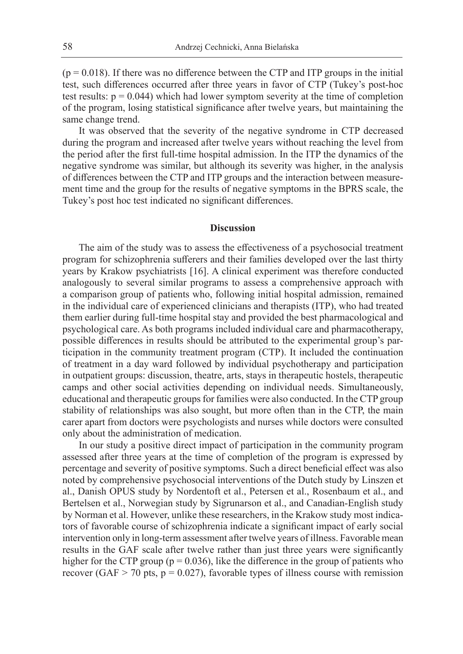$(p = 0.018)$ . If there was no difference between the CTP and ITP groups in the initial test, such differences occurred after three years in favor of CTP (Tukey's post-hoc test results:  $p = 0.044$ ) which had lower symptom severity at the time of completion of the program, losing statistical significance after twelve years, but maintaining the same change trend.

It was observed that the severity of the negative syndrome in CTP decreased during the program and increased after twelve years without reaching the level from the period after the first full-time hospital admission. In the ITP the dynamics of the negative syndrome was similar, but although its severity was higher, in the analysis of differences between the CTP and ITP groups and the interaction between measurement time and the group for the results of negative symptoms in the BPRS scale, the Tukey's post hoc test indicated no significant differences.

### **Discussion**

The aim of the study was to assess the effectiveness of a psychosocial treatment program for schizophrenia sufferers and their families developed over the last thirty years by Krakow psychiatrists [16]. A clinical experiment was therefore conducted analogously to several similar programs to assess a comprehensive approach with a comparison group of patients who, following initial hospital admission, remained in the individual care of experienced clinicians and therapists (ITP), who had treated them earlier during full-time hospital stay and provided the best pharmacological and psychological care. As both programs included individual care and pharmacotherapy, possible differences in results should be attributed to the experimental group's participation in the community treatment program (CTP). It included the continuation of treatment in a day ward followed by individual psychotherapy and participation in outpatient groups: discussion, theatre, arts, stays in therapeutic hostels, therapeutic camps and other social activities depending on individual needs. Simultaneously, educational and therapeutic groups for families were also conducted. In the CTP group stability of relationships was also sought, but more often than in the CTP, the main carer apart from doctors were psychologists and nurses while doctors were consulted only about the administration of medication.

In our study a positive direct impact of participation in the community program assessed after three years at the time of completion of the program is expressed by percentage and severity of positive symptoms. Such a direct beneficial effect was also noted by comprehensive psychosocial interventions of the Dutch study by Linszen et al., Danish OPUS study by Nordentoft et al., Petersen et al., Rosenbaum et al., and Bertelsen et al., Norwegian study by Sigrunarson et al., and Canadian-English study by Norman et al. However, unlike these researchers, in the Krakow study most indicators of favorable course of schizophrenia indicate a significant impact of early social intervention only in long-term assessment after twelve years of illness. Favorable mean results in the GAF scale after twelve rather than just three years were significantly higher for the CTP group ( $p = 0.036$ ), like the difference in the group of patients who recover (GAF > 70 pts,  $p = 0.027$ ), favorable types of illness course with remission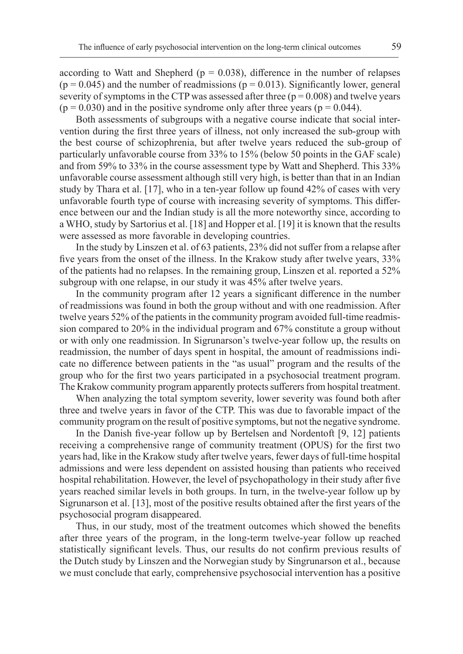according to Watt and Shepherd ( $p = 0.038$ ), difference in the number of relapses  $(p = 0.045)$  and the number of readmissions  $(p = 0.013)$ . Significantly lower, general severity of symptoms in the CTP was assessed after three ( $p = 0.008$ ) and twelve years  $(p = 0.030)$  and in the positive syndrome only after three years  $(p = 0.044)$ .

Both assessments of subgroups with a negative course indicate that social intervention during the first three years of illness, not only increased the sub-group with the best course of schizophrenia, but after twelve years reduced the sub-group of particularly unfavorable course from 33% to 15% (below 50 points in the GAF scale) and from 59% to 33% in the course assessment type by Watt and Shepherd. This 33% unfavorable course assessment although still very high, is better than that in an Indian study by Thara et al. [17], who in a ten-year follow up found 42% of cases with very unfavorable fourth type of course with increasing severity of symptoms. This difference between our and the Indian study is all the more noteworthy since, according to a WHO, study by Sartorius et al. [18] and Hopper et al. [19] it is known that the results were assessed as more favorable in developing countries.

In the study by Linszen et al. of 63 patients, 23% did not suffer from a relapse after five years from the onset of the illness. In the Krakow study after twelve years, 33% of the patients had no relapses. In the remaining group, Linszen et al. reported a 52% subgroup with one relapse, in our study it was 45% after twelve years.

In the community program after 12 years a significant difference in the number of readmissions was found in both the group without and with one readmission. After twelve years 52% of the patients in the community program avoided full-time readmission compared to 20% in the individual program and 67% constitute a group without or with only one readmission. In Sigrunarson's twelve-year follow up, the results on readmission, the number of days spent in hospital, the amount of readmissions indicate no difference between patients in the "as usual" program and the results of the group who for the first two years participated in a psychosocial treatment program. The Krakow community program apparently protects sufferers from hospital treatment.

When analyzing the total symptom severity, lower severity was found both after three and twelve years in favor of the CTP. This was due to favorable impact of the community program on the result of positive symptoms, but not the negative syndrome.

In the Danish five-year follow up by Bertelsen and Nordentoft [9, 12] patients receiving a comprehensive range of community treatment (OPUS) for the first two years had, like in the Krakow study after twelve years, fewer days of full-time hospital admissions and were less dependent on assisted housing than patients who received hospital rehabilitation. However, the level of psychopathology in their study after five years reached similar levels in both groups. In turn, in the twelve-year follow up by Sigrunarson et al. [13], most of the positive results obtained after the first years of the psychosocial program disappeared.

Thus, in our study, most of the treatment outcomes which showed the benefits after three years of the program, in the long-term twelve-year follow up reached statistically significant levels. Thus, our results do not confirm previous results of the Dutch study by Linszen and the Norwegian study by Singrunarson et al., because we must conclude that early, comprehensive psychosocial intervention has a positive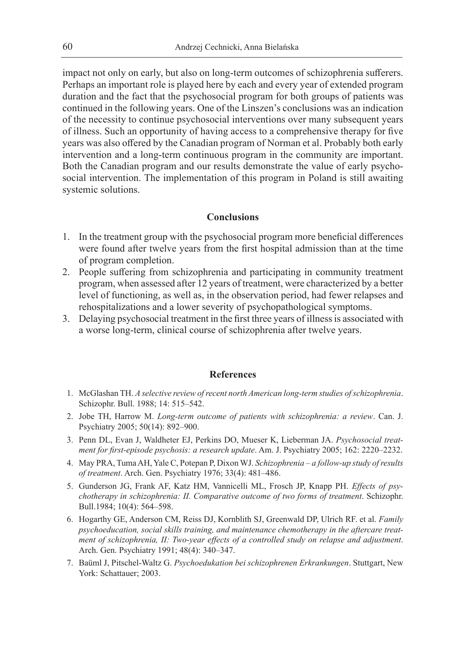impact not only on early, but also on long-term outcomes of schizophrenia sufferers. Perhaps an important role is played here by each and every year of extended program duration and the fact that the psychosocial program for both groups of patients was continued in the following years. One of the Linszen's conclusions was an indication of the necessity to continue psychosocial interventions over many subsequent years of illness. Such an opportunity of having access to a comprehensive therapy for five years was also offered by the Canadian program of Norman et al. Probably both early intervention and a long-term continuous program in the community are important. Both the Canadian program and our results demonstrate the value of early psychosocial intervention. The implementation of this program in Poland is still awaiting systemic solutions.

## **Conclusions**

- 1. In the treatment group with the psychosocial program more beneficial differences were found after twelve years from the first hospital admission than at the time of program completion.
- 2. People suffering from schizophrenia and participating in community treatment program, when assessed after 12 years of treatment, were characterized by a better level of functioning, as well as, in the observation period, had fewer relapses and rehospitalizations and a lower severity of psychopathological symptoms.
- 3. Delaying psychosocial treatment in the first three years of illness is associated with a worse long-term, clinical course of schizophrenia after twelve years.

### **References**

- 1. McGlashan TH. *A selective review of recent north American long-term studies of schizophrenia*. Schizophr. Bull. 1988; 14: 515–542.
- 2. Jobe TH, Harrow M. *Long-term outcome of patients with schizophrenia: a review*. Can. J. Psychiatry 2005; 50(14): 892–900.
- 3. Penn DL, Evan J, Waldheter EJ, Perkins DO, Mueser K, Lieberman JA. *Psychosocial treatment for first-episode psychosis: a research update*. Am. J. Psychiatry 2005; 162: 2220–2232.
- 4. May PRA, Tuma AH, Yale C, Potepan P, Dixon WJ. *Schizophrenia a follow-up study of results of treatment*. Arch. Gen. Psychiatry 1976; 33(4): 481–486.
- 5. Gunderson JG, Frank AF, Katz HM, Vannicelli ML, Frosch JP, Knapp PH. *Effects of psychotherapy in schizophrenia: II. Comparative outcome of two forms of treatment*. Schizophr. Bull.1984; 10(4): 564–598.
- 6. Hogarthy GE, Anderson CM, Reiss DJ, Kornblith SJ, Greenwald DP, Ulrich RF. et al. *Family psychoeducation, social skills training, and maintenance chemotherapy in the aftercare treatment of schizophrenia, II: Two-year effects of a controlled study on relapse and adjustment*. Arch. Gen. Psychiatry 1991; 48(4): 340–347.
- 7. Baüml J, Pitschel-Waltz G. *Psychoedukation bei schizophrenen Erkrankungen*. Stuttgart, New York: Schattauer; 2003.